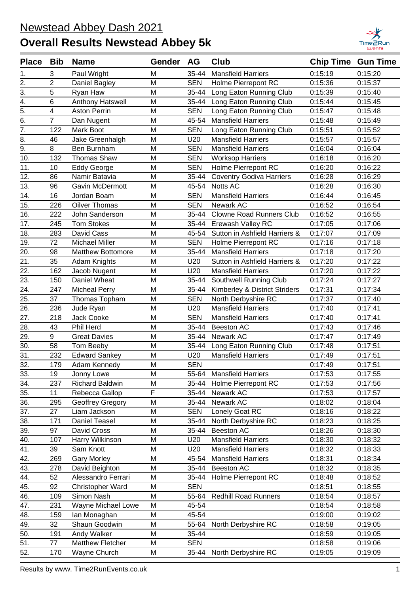

| Place Bib         |                         | <b>Name</b>              | Gender AG |            | <b>Club</b>                     | <b>Chip Time Gun Time</b> |         |
|-------------------|-------------------------|--------------------------|-----------|------------|---------------------------------|---------------------------|---------|
| 1.                | 3                       | Paul Wright              | Μ         | 35-44      | <b>Mansfield Harriers</b>       | 0:15:19                   | 0:15:20 |
| 2.                | $\overline{2}$          | Daniel Bagley            | M         | <b>SEN</b> | Holme Pierrepont RC             | 0:15:36                   | 0:15:37 |
| 3.                | 5                       | Ryan Haw                 | M         | 35-44      | Long Eaton Running Club         | 0:15:39                   | 0:15:40 |
| $\overline{4}$ .  | 6                       | Anthony Hatswell         | M         | 35-44      | Long Eaton Running Club         | 0:15:44                   | 0:15:45 |
| 5.                | $\overline{\mathbf{4}}$ | <b>Aston Perrin</b>      | M         | <b>SEN</b> | Long Eaton Running Club         | 0:15:47                   | 0:15:48 |
| 6.                | $\overline{7}$          | Dan Nugent               | M         | 45-54      | <b>Mansfield Harriers</b>       | 0:15:48                   | 0:15:49 |
| $\overline{7}$ .  | 122                     | Mark Boot                | M         | <b>SEN</b> | Long Eaton Running Club         | 0:15:51                   | 0:15:52 |
| 8.                | 46                      | Jake Greenhalgh          | M         | U20        | <b>Mansfield Harriers</b>       | 0:15:57                   | 0:15:57 |
| $\overline{9}$ .  | 8                       | <b>Ben Burnham</b>       | M         | <b>SEN</b> | <b>Mansfield Harriers</b>       | 0:16:04                   | 0:16:04 |
| 10.               | 132                     | Thomas Shaw              | M         | <b>SEN</b> | <b>Worksop Harriers</b>         | 0:16:18                   | 0:16:20 |
| 11.               | 10                      | <b>Eddy George</b>       | M         | <b>SEN</b> | Holme Pierrepont RC             | 0:16:20                   | 0:16:22 |
| 12.               | 86                      | Namir Batavia            | M         | 35-44      | <b>Coventry Godiva Harriers</b> | 0:16:28                   | 0:16:29 |
| 13.               | 96                      | <b>Gavin McDermott</b>   | M         | 45-54      | Notts AC                        | 0:16:28                   | 0:16:30 |
| 14.               | 16                      | Jordan Boam              | M         | <b>SEN</b> | <b>Mansfield Harriers</b>       | 0:16:44                   | 0:16:45 |
| 15.               | 226                     | <b>Oilver Thomas</b>     | M         | <b>SEN</b> | Newark AC                       | 0:16:52                   | 0:16:54 |
| 16.               | 222                     | John Sanderson           | M         | 35-44      | <b>Clowne Road Runners Club</b> | 0:16:52                   | 0:16:55 |
| 17.               | 245                     | <b>Tom Stokes</b>        | M         | 35-44      | Erewash Valley RC               | 0:17:05                   | 0:17:06 |
| 18.               | 283                     | David Cass               | M         | 45-54      | Sutton in Ashfield Harriers &   | 0:17:07                   | 0:17:09 |
| 19.               | 72                      | <b>Michael Miller</b>    | M         | <b>SEN</b> | Holme Pierrepont RC             | 0:17:16                   | 0:17:18 |
| 20.               | 98                      | <b>Matthew Bottomore</b> | M         | 35-44      | <b>Mansfield Harriers</b>       | 0:17:18                   | 0:17:20 |
| 21.               | 35                      | Adam Knights             | M         | U20        | Sutton in Ashfield Harriers &   | 0:17:20                   | 0:17:22 |
| 22.               | 162                     | Jacob Nugent             | M         | U20        | <b>Mansfield Harriers</b>       | 0:17:20                   | 0:17:22 |
| 23.               | 150                     | Daniel Wheat             | M         | 35-44      | Southwell Running Club          | 0:17:24                   | 0:17:27 |
| 24.               | 247                     | <b>Micheal Perry</b>     | M         | 35-44      | Kimberley & District Striders   | 0:17:31                   | 0:17:34 |
| 25.               | 37                      | Thomas Topham            | M         | <b>SEN</b> | North Derbyshire RC             | 0:17:37                   | 0:17:40 |
| 26.               | 236                     | Jude Ryan                | M         | U20        | <b>Mansfield Harriers</b>       | 0:17:40                   | 0:17:41 |
| 27.               | 218                     | Jack Cooke               | M         | <b>SEN</b> | <b>Mansfield Harriers</b>       | 0:17:40                   | 0:17:41 |
| 28.               | 43                      | Phil Herd                | M         | 35-44      | <b>Beeston AC</b>               | 0:17:43                   | 0:17:46 |
| 29.               | 9                       | <b>Great Davies</b>      | M         | 35-44      | Newark AC                       | 0:17:47                   | 0:17:49 |
| 30.               | 58                      | Tom Beeby                | M         | 35-44      | Long Eaton Running Club         | 0:17:48                   | 0:17:51 |
| 31.               | 232                     | <b>Edward Sankey</b>     | M         | U20        | <b>Mansfield Harriers</b>       | 0:17:49                   | 0:17:51 |
| $\overline{32.}$  | 179                     | Adam Kennedy             | M         | <b>SEN</b> |                                 | 0:17:49                   | 0:17:51 |
| 33.               | 19                      | Jonny Lowe               | M         | 55-64      | <b>Mansfield Harriers</b>       | 0:17:53                   | 0:17:55 |
| 34.               | 237                     | <b>Richard Baldwin</b>   | M         | 35-44      | Holme Pierrepont RC             | 0:17:53                   | 0:17:56 |
| 35.               | 11                      | Rebecca Gallop           | F         | 35-44      | Newark AC                       | 0:17:53                   | 0:17:57 |
| 36.               | 295                     | Geoffrey Gregory         | M         | 35-44      | Newark AC                       | 0:18:02                   | 0:18:04 |
| 37.               | 27                      | Liam Jackson             | M         | <b>SEN</b> | Lonely Goat RC                  | 0:18:16                   | 0:18:22 |
| 38.               | 171                     | Daniel Teasel            | M         | 35-44      | North Derbyshire RC             | 0:18:23                   | 0:18:25 |
| 39.               | 97                      | David Cross              | M         | 35-44      | <b>Beeston AC</b>               | 0:18:26                   | 0:18:30 |
| 40.               | 107                     | Harry Wilkinson          | M         | U20        | <b>Mansfield Harriers</b>       | 0:18:30                   | 0:18:32 |
| $\overline{41}$ . | 39                      | Sam Knott                | M         | U20        | <b>Mansfield Harriers</b>       | 0:18:32                   | 0:18:33 |
| 42.               | 269                     | <b>Gary Morley</b>       | M         | 45-54      | <b>Mansfield Harriers</b>       | 0:18:31                   | 0:18:34 |
| 43.               | 278                     | David Beighton           | M         | 35-44      | Beeston AC                      | 0:18:32                   | 0:18:35 |
| 44.               | 52                      | Alessandro Ferrari       | M         | 35-44      | Holme Pierrepont RC             | 0:18:48                   | 0:18:52 |
| 45.               | 92                      | Christopher Ward         | M         | <b>SEN</b> |                                 | 0:18:51                   | 0:18:55 |
| 46.               | 109                     | Simon Nash               | M         | 55-64      | <b>Redhill Road Runners</b>     | 0:18:54                   | 0:18:57 |
| 47.               | 231                     | Wayne Michael Lowe       | M         | 45-54      |                                 | 0:18:54                   | 0:18:58 |
| 48.               | 159                     | lan Monaghan             | M         | 45-54      |                                 | 0:19:00                   | 0:19:02 |
| 49.               | 32                      | Shaun Goodwin            | M         | 55-64      | North Derbyshire RC             | 0:18:58                   | 0:19:05 |
| 50.               | 191                     | Andy Walker              | M         | 35-44      |                                 | 0:18:59                   | 0:19:05 |
| 51.               | 77                      | Matthew Fletcher         | M         | <b>SEN</b> |                                 | 0:18:58                   | 0:19:06 |
| 52.               | 170                     | Wayne Church             | M         | 35-44      | North Derbyshire RC             | 0:19:05                   | 0:19:09 |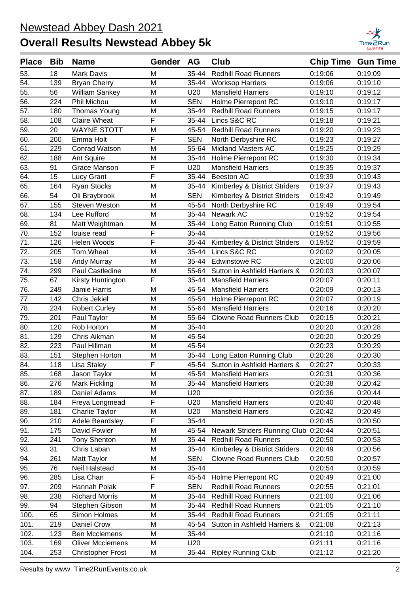

| <b>Place</b>      | <b>Bib</b> | <b>Name</b>              | Gender | <b>AG</b>  | <b>Club</b>                         | <b>Chip Time Gun Time</b> |         |
|-------------------|------------|--------------------------|--------|------------|-------------------------------------|---------------------------|---------|
| 53.               | 18         | <b>Mark Davis</b>        | M      | 35-44      | <b>Redhill Road Runners</b>         | 0:19:06                   | 0:19:09 |
| 54.               | 139        | <b>Bryan Cherry</b>      | M      | 35-44      | <b>Worksop Harriers</b>             | 0:19:06                   | 0:19:10 |
| 55.               | 56         | William Sankey           | M      | U20        | <b>Mansfield Harriers</b>           | 0:19:10                   | 0:19:12 |
| 56.               | 224        | Phil Michou              | M      | <b>SEN</b> | Holme Pierrepont RC                 | 0:19:10                   | 0:19:17 |
| 57.               | 180        | <b>Thomas Young</b>      | M      | 35-44      | <b>Redhill Road Runners</b>         | 0:19:15                   | 0:19:17 |
| 58.               | 108        | <b>Claire Wheat</b>      | F      | 35-44      | Lincs S&C RC                        | 0:19:18                   | 0:19:21 |
| 59.               | 20         | <b>WAYNE STOTT</b>       | M      | 45-54      | <b>Redhill Road Runners</b>         | 0:19:20                   | 0:19:23 |
| 60.               | 200        | Emma Holt                | F      | <b>SEN</b> | North Derbyshire RC                 | 0:19:23                   | 0:19:27 |
| 61.               | 229        | <b>Conrad Watson</b>     | M      | 55-64      | <b>Midland Masters AC</b>           | 0:19:25                   | 0:19:29 |
| 62.               | 188        | Ant Squire               | M      | 35-44      | Holme Pierrepont RC                 | 0:19:30                   | 0:19:34 |
| 63.               | 91         | Grace Manson             | F      | U20        | <b>Mansfield Harriers</b>           | 0:19:35                   | 0:19:37 |
| 64.               | 15         | Lucy Grant               | F      | 35-44      | <b>Beeston AC</b>                   | 0:19:39                   | 0:19:43 |
| 65.               | 164        | Ryan Stocks              | M      | 35-44      | Kimberley & District Striders       | 0:19:37                   | 0:19:43 |
| 66.               | 54         | Oli Braybrook            | M      | <b>SEN</b> | Kimberley & District Striders       | 0:19:42                   | 0:19:49 |
| 67.               | 155        | Steven Weston            | M      | 45-54      | North Derbyshire RC                 | 0:19:49                   | 0:19:54 |
| 68.               | 134        | Lee Rufford              | M      | 35-44      | Newark AC                           | 0:19:52                   | 0:19:54 |
| 69.               | 81         | Matt Weightman           | M      | 35-44      | Long Eaton Running Club             | 0:19:51                   | 0:19:55 |
| 70.               | 152        | louise read              | F      | 35-44      |                                     | 0:19:52                   | 0:19:56 |
| 71.               | 126        | Helen Woods              | F      | 35-44      | Kimberley & District Striders       | 0:19:52                   | 0:19:59 |
| 72.               | 205        | Tom Wheat                | M      | 35-44      | Lincs S&C RC                        | 0:20:02                   | 0:20:05 |
| 73.               | 158        | Andy Murray              | M      | 35-44      | <b>Edwinstowe RC</b>                | 0:20:00                   | 0:20:06 |
| 74.               | 299        | Paul Castledine          | M      | 55-64      | Sutton in Ashfield Harriers &       | 0:20:03                   | 0:20:07 |
| 75.               | 67         | Kirsty Huntington        | F      | 35-44      | <b>Mansfield Harriers</b>           | 0:20:07                   | 0:20:11 |
| 76.               | 249        | Jamie Harris             | M      | 45-54      | <b>Mansfield Harriers</b>           | 0:20:09                   | 0:20:13 |
| 77.               | 142        | Chris Jekiel             | M      | 45-54      | Holme Pierrepont RC                 | 0:20:07                   | 0:20:19 |
| 78.               | 234        | <b>Robert Curley</b>     | M      | 55-64      | <b>Mansfield Harriers</b>           | 0:20:16                   | 0:20:20 |
| 79.               | 201        | Paul Taylor              | M      | 55-64      | <b>Clowne Road Runners Club</b>     | 0:20:15                   | 0:20:21 |
| 80.               | 120        | Rob Horton               | M      | 35-44      |                                     | 0:20:20                   | 0:20:28 |
| 81.               | 129        | Chris Aikman             | M      | 45-54      |                                     | 0:20:20                   | 0:20:29 |
| 82.               | 223        | Paul Hillman             | M      | 45-54      |                                     | 0:20:23                   | 0:20:29 |
| 83.               | 151        | Stephen Horton           | M      | 35-44      | Long Eaton Running Club             | 0:20:26                   | 0:20:30 |
| 84.               | 118        | Lisa Staley              | F      |            | 45-54 Sutton in Ashfield Harriers & | 0:20:27                   | 0:20:33 |
| $\overline{85}$ . | 168        | Jason Taylor             | M      |            | 45-54 Mansfield Harriers            | 0:20:31                   | 0:20:36 |
| 86.               | 276        | Mark Fickling            | M      | 35-44      | <b>Mansfield Harriers</b>           | 0:20:38                   | 0:20:42 |
| 87.               | 189        | Daniel Adams             | M      | U20        |                                     | 0:20:36                   | 0:20:44 |
| 88.               | 184        | Freya Longmead           | F      | U20        | <b>Mansfield Harriers</b>           | 0:20:40                   | 0:20:48 |
| 89.               | 181        | Charlie Taylor           | M      | U20        | <b>Mansfield Harriers</b>           | 0:20:42                   | 0:20:49 |
| 90.               | 210        | Adele Beardsley          | F      | 35-44      |                                     | 0:20:45                   | 0:20:50 |
| 91.               | 175        | David Fowler             | M      | 45-54      | Newark Striders Running Club        | 0:20:44                   | 0:20:51 |
| 92.               | 241        | <b>Tony Shenton</b>      | M      | 35-44      | <b>Redhill Road Runners</b>         | 0:20:50                   | 0:20:53 |
| 93.               | 31         | Chris Laban              | M      | 35-44      | Kimberley & District Striders       | 0:20:49                   | 0:20:56 |
| 94.               | 261        | Matt Taylor              | M      | <b>SEN</b> | <b>Clowne Road Runners Club</b>     | 0:20:50                   | 0:20:57 |
| 95.               | 76         | Neil Halstead            | M      | 35-44      |                                     | 0:20:54                   | 0:20:59 |
| 96.               | 285        | Lisa Chan                | F      | 45-54      | Holme Pierrepont RC                 | 0:20:49                   | 0:21:00 |
| 97.               | 209        | Hannah Polak             | F      | <b>SEN</b> | <b>Redhill Road Runners</b>         | 0:20:55                   | 0:21:01 |
| 98.               | 238        | <b>Richard Morris</b>    | M      | 35-44      | <b>Redhill Road Runners</b>         | 0:21:00                   | 0:21:06 |
| 99.               | 94         | Stephen Gibson           | Μ      | 35-44      | <b>Redhill Road Runners</b>         | 0:21:05                   | 0:21:10 |
| 100.              | 65         | Simon Holmes             | M      | 35-44      | <b>Redhill Road Runners</b>         | 0:21:05                   | 0:21:11 |
| 101.              | 219        | Daniel Crow              | M      | 45-54      | Sutton in Ashfield Harriers &       | 0:21:08                   | 0:21:13 |
| 102.              | 123        | <b>Ben Mcclemens</b>     | M      | 35-44      |                                     | 0:21:10                   | 0:21:16 |
| 103.              | 169        | <b>Oliver Mcclemens</b>  | Μ      | U20        |                                     | 0:21:11                   | 0:21:16 |
| 104.              | 253        | <b>Christopher Frost</b> | М      | 35-44      | <b>Ripley Running Club</b>          | 0:21:12                   | 0:21:20 |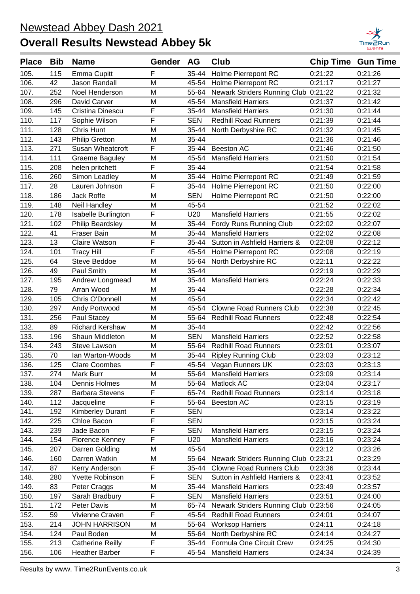

| <b>Place</b> | <b>Bib</b> | <b>Name</b>             | Gender AG               |            | Club                                 | <b>Chip Time Gun Time</b> |         |
|--------------|------------|-------------------------|-------------------------|------------|--------------------------------------|---------------------------|---------|
| 105.         | 115        | Emma Cupitt             | F                       | 35-44      | Holme Pierrepont RC                  | 0:21:22                   | 0:21:26 |
| 106.         | 42         | <b>Jason Randall</b>    | M                       | 45-54      | Holme Pierrepont RC                  | 0:21:17                   | 0:21:27 |
| 107.         | 252        | Noel Henderson          | M                       | 55-64      | Newark Striders Running Club 0:21:22 |                           | 0:21:32 |
| 108.         | 296        | David Carver            | M                       | 45-54      | <b>Mansfield Harriers</b>            | 0:21:37                   | 0:21:42 |
| 109.         | 145        | Cristina Dinescu        | F                       | 35-44      | <b>Mansfield Harriers</b>            | 0:21:30                   | 0:21:44 |
| 110.         | 117        | Sophie Wilson           | F                       | <b>SEN</b> | <b>Redhill Road Runners</b>          | 0:21:39                   | 0:21:44 |
| 111.         | 128        | Chris Hunt              | M                       | 35-44      | North Derbyshire RC                  | 0:21:32                   | 0:21:45 |
| 112.         | 143        | <b>Philip Gretton</b>   | M                       | 35-44      |                                      | 0:21:36                   | 0:21:46 |
| 113.         | 271        | Susan Wheatcroft        | F                       | 35-44      | Beeston AC                           | 0:21:46                   | 0:21:50 |
| 114.         | 111        | <b>Graeme Baguley</b>   | M                       | 45-54      | <b>Mansfield Harriers</b>            | 0:21:50                   | 0:21:54 |
| 115.         | 208        | helen pritchett         | F                       | 35-44      |                                      | 0:21:54                   | 0:21:58 |
| 116.         | 260        | Simon Leadley           | M                       | 35-44      | Holme Pierrepont RC                  | 0:21:49                   | 0:21:59 |
| 117.         | 28         | Lauren Johnson          | F                       | 35-44      | Holme Pierrepont RC                  | 0:21:50                   | 0:22:00 |
| 118.         | 186        | Jack Roffe              | M                       | <b>SEN</b> | Holme Pierrepont RC                  | 0:21:50                   | 0:22:00 |
| 119.         | 148        | Neil Handley            | M                       | 45-54      |                                      | 0:21:52                   | 0:22:02 |
| 120.         | 178        | Isabelle Burlington     | F                       | U20        | Mansfield Harriers                   | 0:21:55                   | 0:22:02 |
| 121.         | 102        | <b>Philip Beardsley</b> | M                       | 35-44      | Fordy Runs Running Club              | 0:22:02                   | 0:22:07 |
| 122.         | 41         | Fraser Bain             | M                       | 35-44      | <b>Mansfield Harriers</b>            | 0:22:02                   | 0:22:08 |
| 123.         | 13         | <b>Claire Watson</b>    | F                       | 35-44      | Sutton in Ashfield Harriers &        | 0:22:08                   | 0:22:12 |
| 124.         | 101        | <b>Tracy Hill</b>       | F                       | 45-54      | Holme Pierrepont RC                  | 0:22:08                   | 0:22:19 |
| 125.         | 64         | Steve Beddoe            | M                       | 55-64      | North Derbyshire RC                  | 0:22:11                   | 0:22:22 |
| 126.         | 49         | Paul Smith              | M                       | 35-44      |                                      | 0:22:19                   | 0:22:29 |
| 127.         | 195        | Andrew Longmead         | M                       | 35-44      | <b>Mansfield Harriers</b>            | 0:22:24                   | 0:22:33 |
| 128.         | 79         | Arran Wood              | M                       | 35-44      |                                      | 0:22:28                   | 0:22:34 |
| 129.         | 105        | Chris O'Donnell         | M                       | 45-54      |                                      | 0:22:34                   | 0:22:42 |
| 130.         | 297        | Andy Portwood           | M                       | 45-54      | <b>Clowne Road Runners Club</b>      | 0:22:38                   | 0:22:45 |
| 131.         | 256        | Paul Stacey             | M                       | 55-64      | <b>Redhill Road Runners</b>          | 0:22:48                   | 0:22:54 |
| 132.         | 89         | <b>Richard Kershaw</b>  | M                       | 35-44      |                                      | 0:22:42                   | 0:22:56 |
| 133.         | 196        | Shaun Middleton         | M                       | <b>SEN</b> | <b>Mansfield Harriers</b>            | 0:22:52                   | 0:22:58 |
| 134.         | 243        | Steve Lawson            | M                       | 55-64      | <b>Redhill Road Runners</b>          | 0:23:01                   | 0:23:07 |
| 135.         | 70         | Ian Warton-Woods        | M                       | 35-44      | <b>Ripley Running Club</b>           | 0:23:03                   | 0:23:12 |
| 136.         | 125        | <b>Clare Coombes</b>    | F                       |            | 45-54 Vegan Runners UK               | 0:23:03                   | 0:23:13 |
| 137.         | 274        | Mark Burr               | м                       | 55-64      | <b>Mansfield Harriers</b>            | 0:23:09                   | 0:23:14 |
| 138.         | 104        | Dennis Holmes           | M                       | 55-64      | Matlock AC                           | 0:23:04                   | 0:23:17 |
| 139.         | 287        | <b>Barbara Stevens</b>  | $\overline{\mathsf{F}}$ | 65-74      | <b>Redhill Road Runners</b>          | 0:23:14                   | 0:23:18 |
| 140.         | 112        | Jacqueline              | F                       | 55-64      | Beeston AC                           | 0:23:15                   | 0:23:19 |
| 141.         | 192        | <b>Kimberley Durant</b> | F                       | <b>SEN</b> |                                      | 0:23:14                   | 0:23:22 |
| 142.         | 225        | Chloe Bacon             | $\overline{F}$          | <b>SEN</b> |                                      | 0:23:15                   | 0:23:24 |
| 143.         | 239        | Jade Bacon              | F                       | <b>SEN</b> | <b>Mansfield Harriers</b>            | 0:23:15                   | 0:23:24 |
| 144.         | 154        | <b>Florence Kenney</b>  | F                       | U20        | <b>Mansfield Harriers</b>            | 0:23:16                   | 0:23:24 |
| 145.         | 207        | Darren Golding          | M                       | 45-54      |                                      | 0:23:12                   | 0:23:26 |
| 146.         | 160        | Darren Watkin           | M                       | 55-64      | Newark Striders Running Club 0:23:21 |                           | 0:23:29 |
| 147.         | 87         | Kerry Anderson          | F                       | 35-44      | <b>Clowne Road Runners Club</b>      | 0:23:36                   | 0:23:44 |
| 148.         | 280        | Yvette Robinson         | $\overline{F}$          | <b>SEN</b> | Sutton in Ashfield Harriers &        | 0:23:41                   | 0:23:52 |
| 149.         | 83         | Peter Craggs            | M                       | 35-44      | <b>Mansfield Harriers</b>            | 0:23:49                   | 0:23:57 |
| 150.         | 197        | Sarah Bradbury          | $\overline{F}$          | <b>SEN</b> | <b>Mansfield Harriers</b>            | 0:23:51                   | 0:24:00 |
| 151.         | 172        | Peter Davis             | M                       | 65-74      | Newark Striders Running Club 0:23:56 |                           | 0:24:05 |
| 152.         | 59         | Vivienne Craven         | F                       | 45-54      | <b>Redhill Road Runners</b>          | 0:24:01                   | 0:24:07 |
| 153.         | 214        | <b>JOHN HARRISON</b>    | M                       | 55-64      | <b>Worksop Harriers</b>              | 0:24:11                   | 0:24:18 |
| 154.         | 124        | Paul Boden              | M                       | 55-64      | North Derbyshire RC                  | 0:24:14                   | 0:24:27 |
| 155.         | 213        | <b>Catherine Reilly</b> | F                       | 35-44      | Formula One Circuit Crew             | 0:24:25                   | 0:24:30 |
| 156.         | 106        | Heather Barber          | $\overline{F}$          | 45-54      | <b>Mansfield Harriers</b>            | 0:24:34                   | 0:24:39 |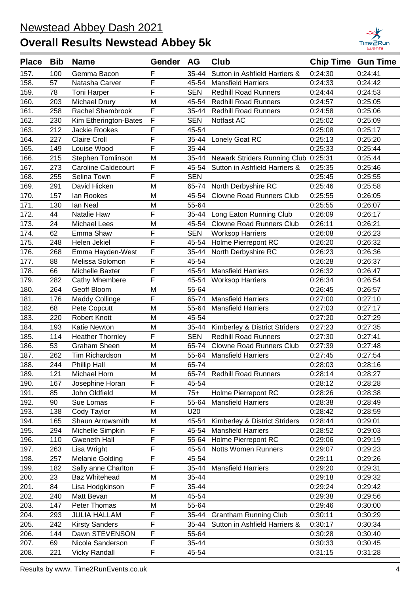

| <b>Place</b> | <b>Bib</b> | <b>Name</b>                | Gender                  | <b>AG</b>  | Club                                 | <b>Chip Time Gun Time</b> |         |
|--------------|------------|----------------------------|-------------------------|------------|--------------------------------------|---------------------------|---------|
| 157.         | 100        | Gemma Bacon                | F                       | 35-44      | Sutton in Ashfield Harriers &        | 0:24:30                   | 0:24:41 |
| 158.         | 57         | Natasha Carver             | F                       | 45-54      | <b>Mansfield Harriers</b>            | 0:24:33                   | 0:24:42 |
| 159.         | 78         | <b>Toni Harper</b>         | F                       | <b>SEN</b> | <b>Redhill Road Runners</b>          | 0:24:44                   | 0:24:53 |
| 160.         | 203        | Michael Drury              | M                       | 45-54      | <b>Redhill Road Runners</b>          | 0:24:57                   | 0:25:05 |
| 161.         | 258        | Rachel Shambrook           | F                       | 35-44      | <b>Redhill Road Runners</b>          | 0:24:58                   | 0:25:06 |
| 162.         | 230        | Kim Etherington-Bates      | $\overline{F}$          | <b>SEN</b> | Notfast AC                           | 0:25:02                   | 0:25:09 |
| 163.         | 212        | <b>Jackie Rookes</b>       | F                       | 45-54      |                                      | 0:25:08                   | 0:25:17 |
| 164.         | 227        | <b>Claire Croll</b>        | F                       | 35-44      | Lonely Goat RC                       | 0:25:13                   | 0:25:20 |
| 165.         | 149        | Louise Wood                | F                       | 35-44      |                                      | 0:25:33                   | 0:25:44 |
| 166.         | 215        | Stephen Tomlinson          | M                       | 35-44      | Newark Striders Running Club 0:25:31 |                           | 0:25:44 |
| 167.         | 273        | <b>Caroline Caldecourt</b> | F                       | 45-54      | Sutton in Ashfield Harriers &        | 0:25:35                   | 0:25:46 |
| 168.         | 255        | Selina Town                | F                       | <b>SEN</b> |                                      | 0:25:45                   | 0:25:55 |
| 169.         | 291        | David Hicken               | M                       | 65-74      | North Derbyshire RC                  | 0:25:46                   | 0:25:58 |
| 170.         | 157        | lan Rookes                 | M                       | 45-54      | <b>Clowne Road Runners Club</b>      | 0:25:55                   | 0:26:05 |
| 171.         | 130        | lan Neal                   | M                       | 55-64      |                                      | 0:25:55                   | 0:26:07 |
| 172.         | 44         | Natalie Haw                | F                       | 35-44      | Long Eaton Running Club              | 0:26:09                   | 0:26:17 |
| 173.         | 24         | <b>Michael Lees</b>        | M                       | 45-54      | <b>Clowne Road Runners Club</b>      | 0:26:11                   | 0:26:21 |
| 174.         | 62         | Emma Shaw                  | F                       | <b>SEN</b> | <b>Worksop Harriers</b>              | 0:26:08                   | 0:26:23 |
| 175.         | 248        | Helen Jekiel               | F                       | 45-54      | Holme Pierrepont RC                  | 0:26:20                   | 0:26:32 |
| 176.         | 268        | Emma Hayden-West           | $\overline{F}$          | 35-44      | North Derbyshire RC                  | 0:26:23                   | 0:26:36 |
| 177.         | 88         | Melissa Solomon            | F                       | 45-54      |                                      | 0:26:28                   | 0:26:37 |
| 178.         | 66         | Michelle Baxter            | F                       | 45-54      | <b>Mansfield Harriers</b>            | 0:26:32                   | 0:26:47 |
| 179.         | 282        | <b>Cathy Mhembere</b>      | F                       | 45-54      | <b>Worksop Harriers</b>              | 0:26:34                   | 0:26:54 |
| 180.         | 264        | Geoff Bloom                | M                       | 55-64      |                                      | 0:26:45                   | 0:26:57 |
| 181.         | 176        | Maddy Collinge             | F                       | 65-74      | <b>Mansfield Harriers</b>            | 0:27:00                   | 0:27:10 |
| 182.         | 68         | Pete Copcutt               | M                       | 55-64      | <b>Mansfield Harriers</b>            | 0:27:03                   | 0:27:17 |
| 183.         | 220        | Robert Knott               | M                       | 45-54      |                                      | 0:27:20                   | 0:27:29 |
| 184.         | 193        | Katie Newton               | M                       | 35-44      | Kimberley & District Striders        | 0:27:23                   | 0:27:35 |
| 185.         | 114        | <b>Heather Thornley</b>    | $\overline{F}$          | <b>SEN</b> | <b>Redhill Road Runners</b>          | 0:27:30                   | 0:27:41 |
| 186.         | 53         | <b>Graham Sheen</b>        | M                       | 65-74      | <b>Clowne Road Runners Club</b>      | 0:27:39                   | 0:27:48 |
| 187.         | 262        | Tim Richardson             | M                       | 55-64      | <b>Mansfield Harriers</b>            | 0:27:45                   | 0:27:54 |
| 188.         | 244        | Phillip Hall               | M                       | 65-74      |                                      | 0:28:03                   | 0:28:16 |
| 189.         | 121        | <b>Michael Horn</b>        | $\overline{\mathsf{M}}$ |            | 65-74 Redhill Road Runners           | 0:28:14                   | 0:28:27 |
| 190.         | 167        | Josephine Horan            | F                       | 45-54      |                                      | 0:28:12                   | 0:28:28 |
| 191.         | 85         | John Oldfield              | M                       | $75+$      | Holme Pierrepont RC                  | 0:28:26                   | 0:28:38 |
| 192.         | 90         | Sue Lomas                  | F                       | 55-64      | <b>Mansfield Harriers</b>            | 0:28:38                   | 0:28:49 |
| 193.         | 138        | Cody Taylor                | M                       | U20        |                                      | 0:28:42                   | 0:28:59 |
| 194.         | 165        | Shaun Arrowsmith           | M                       | 45-54      | Kimberley & District Striders        | 0:28:44                   | 0:29:01 |
| 195.         | 294        | Michelle Simpkin           | F                       | 45-54      | <b>Mansfield Harriers</b>            | 0:28:52                   | 0:29:03 |
| 196.         | 110        | <b>Gweneth Hall</b>        | F                       | 55-64      | Holme Pierrepont RC                  | 0:29:06                   | 0:29:19 |
| 197.         | 263        | Lisa Wright                | F                       | 45-54      | <b>Notts Women Runners</b>           | 0:29:07                   | 0:29:23 |
| 198.         | 257        | <b>Melanie Golding</b>     | F                       | 45-54      |                                      | 0:29:11                   | 0:29:26 |
| 199.         | 182        | Sally anne Charlton        | F                       | 35-44      | <b>Mansfield Harriers</b>            | 0:29:20                   | 0:29:31 |
| 200.         | 23         | <b>Baz Whitehead</b>       | M                       | 35-44      |                                      | 0:29:18                   | 0:29:32 |
| 201.         | 84         | Lisa Hodgkinson            | F                       | 35-44      |                                      | 0:29:24                   | 0:29:42 |
| 202.         | 240        | Matt Bevan                 | M                       | 45-54      |                                      | 0:29:38                   | 0:29:56 |
| 203.         | 147        | Peter Thomas               | M                       | 55-64      |                                      | 0:29:46                   | 0:30:00 |
| 204.         | 293        | <b>JULIA HALLAM</b>        | F                       | 35-44      | <b>Grantham Running Club</b>         | 0:30:11                   | 0:30:29 |
| 205.         | 242        | <b>Kirsty Sanders</b>      | F                       | 35-44      | Sutton in Ashfield Harriers &        | 0:30:17                   | 0:30:34 |
| 206.         | 144        | Dawn STEVENSON             | F                       | 55-64      |                                      | 0:30:28                   | 0:30:40 |
| 207.         | 69         | Nicola Sanderson           | F                       | 35-44      |                                      | 0:30:33                   | 0:30:45 |
| 208.         | 221        | <b>Vicky Randall</b>       | F                       | 45-54      |                                      | 0:31:15                   | 0:31:28 |